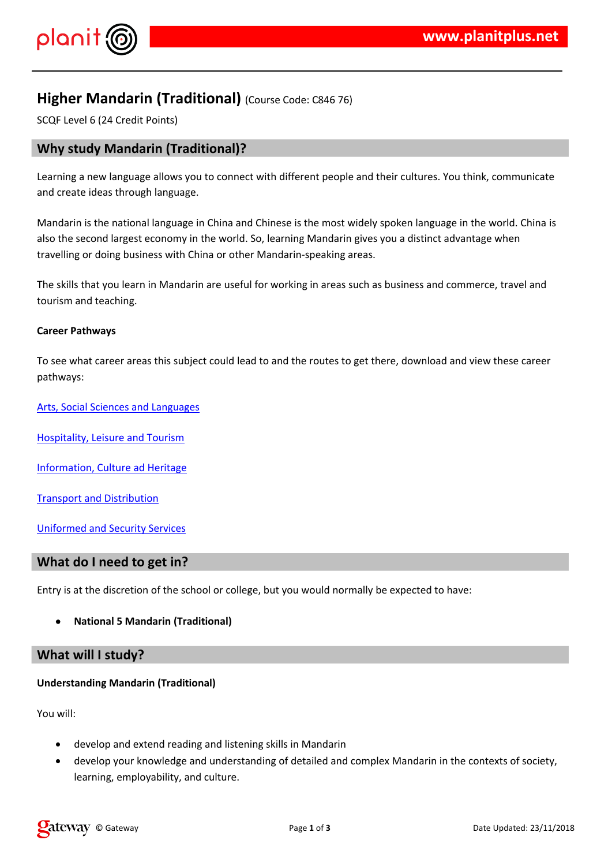## $!$  " # \$ %  $\alpha$   $\alpha$   $\alpha$   $\beta$

- #  $'8'$  ' % ' % % ('' (& )& ' % ') & ( % )\*&',-(..'&<br>' ( & ) ) % ' \*
- 
- 2)  $3.8\%$  % ) % '&'/% &&' &' () 0 &' ' (.. \$(% '<br>& . ' ()&' \*
- $2$  ) (  $03)$  & ( %% ' ) '% ' \$ & )  $\overline{\phantom{a}}$
- $4 (\&8\%$  ( #''
- $5 \t 8 \t % 8 \t # 28 \t 8 \t$
- 6' . & '- % 5 &
- $2'$   $8$   $80$   $8'$
- $8.18$   $8.18$

 $7'$  & ) & (  $(\frac{1}{6}x^{196}(\frac{96}{6})\% - 0$  ' .  $\frac{9666}{60}8$  ( ) \$

 $+$ & % %

 $\begin{array}{cccccccccccc} \texttt{\$} & \texttt{\%} & \texttt{\%} & \texttt{\$} & \texttt{\$} & \texttt{\$} & \texttt{\$} & \texttt{\$} & \texttt{\$} & \texttt{\$} & \texttt{\$} & \texttt{\$} & \texttt{\$} & \texttt{\$} & \texttt{\$} & \texttt{\$} & \texttt{\$} & \texttt{\$} & \texttt{\$} & \texttt{\$} & \texttt{\$} & \texttt{\$} & \texttt{\$} & \texttt{\$} & \texttt{\$} & \texttt{\$} & \texttt{\$} & \texttt{\$} & \texttt{\$} & \texttt{\$} & \$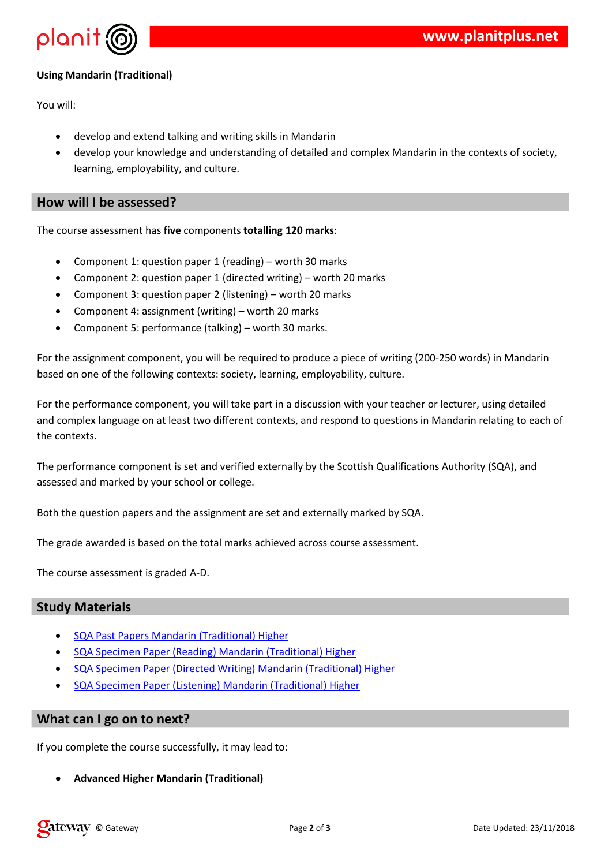$+ 8\%%$ 

 $\mathbf{u} = \mathbf{u}$ 

 $$ \%$   $18'$   $8\%$ ,  $$8'$   $$8'$ ,  $$8\%$   $$8'$   $$1'$   $$8'$ 

, % ' ' & ' & % ' ( / '% & '& ' ) ( ' 8 ( &  $\frac{1}{2}$  %  $\%$   $8' - 08\%$   $($  %

 $2)$  ( 

> $\mathcal{L}^{(1)}$  and  $\mathcal{L}^{(2)}$ 8 8 ( 8 8 )  $\sim 10^{11}$  km  $^{-1}$  $9$  $9 \quad 8' \quad \% \& \quad ' \& ' \quad ).$  $\mathbf{U}=\mathbf{U}$  ,  $\mathbf{U}=\mathbf{U}$  $\frac{1}{2}$ ,  $\frac{1}{2}$ ,  $\frac{1}{2}$ ,  $\frac{1}{2}$ ,  $\frac{1}{2}$ ,  $\frac{1}{2}$ ,  $\frac{1}{2}$ ,  $\frac{1}{2}$ ,  $\frac{1}{2}$ ,  $\frac{1}{2}$ ,  $\frac{1}{2}$ ,  $\frac{1}{2}$ ,  $\frac{1}{2}$ ,  $\frac{1}{2}$ ,  $\frac{1}{2}$ ,  $\frac{1}{2}$ ,  $\frac{1}{2}$ ,  $\frac{1}{2}$ ,  $\frac{1}{2}$ ,  $\frac{1}{2}$ ,

8. (. '8%% 0 9 & ( & ( & & '1; & '/ ' &  $\rightarrow$ 0 (1)  $\frac{1}{2}$  (1)  $\frac{1}{2}$  (1)  $\frac{1}{2}$  (1)  $\frac{1}{2}$  (1)  $\frac{1}{2}$  (1)  $\frac{1}{2}$  (1)  $\frac{1}{2}$  (1)  $\frac{1}{2}$  (1)  $\frac{1}{2}$  (1)  $\frac{1}{2}$  (1)  $\frac{1}{2}$  (1)  $\frac{1}{2}$  (1)  $\frac{1}{2}$  (1)  $\frac{1}{2}$  (1)  $\frac{1}{2}$  (1)  $\frac{1$ 

 $(1)$  (and  $(2)$   $(3)$   $(4)$   $(5)$   $(6)$   $(6)$   $(6)$   $(6)$   $(6)$   $(6)$   $(6)$   $(6)$   $(6)$   $(6)$   $(6)$   $(6)$   $(6)$   $(6)$   $(6)$   $(6)$   $(6)$   $(6)$   $(6)$   $(6)$   $(6)$   $(6)$   $(6)$   $(6)$   $(6)$   $(6)$   $(6)$   $(6)$   $(6)$   $(6)$   $(6)$   $\overline{\phantom{a}}$  $( ' 8 * )$ 

2)  $(1.8' + 1.6)$  (1.  $(2.8' + 1.6)$  (1.  $(3.8' + 1.6)$  (1.  $(3.8' + 1.6)$  (1.  $(3.8' + 1.6)$  (1.  $(3.8' + 1.6)$  (1.  $(3.8' + 1.6)$  (1.  $(3.8' + 1.6)$  (1.  $(3.8' + 1.6)$  (1.  $(3.8' + 1.6)$  (1.  $(3.8' + 1.6)$  (1.  $(3.8' + 1.6)$  (1.  $($ 

 $(1, 0)$   $(1, 0)$   $(2, 0)$   $(3, 0)$   $(4, 0)$   $(5, 0)$   $(6, 0)$   $(7, 0)$   $(8, 0)$   $(8, 0)$   $(9, 0)$   $(1, 0)$ 

 $\begin{array}{c} 1 & \star \\ \hline \end{array}$ 8. 0) '.%, ()& \$ ( 2)

 $1'$  28' & & ' % 5 & )  $\frac{14}{1}$  $14 (8.') = 8'$  /  $28'88'$  % 58)  $(8. ' 8 (> 8 8' / ' 2 8' 8 8' % 5 8)$  $\frac{14}{1}$  $(8. \t\t\t#8 \t\t 78" \t\t 8'2 \t\t 8.858\%$  $\frac{14}{1}$ 

 $\mathcal{L}$ 

 $($  . % ( ) ((  $\&$  . % % )  $6\overline{6}$ 

 $+$  \$)